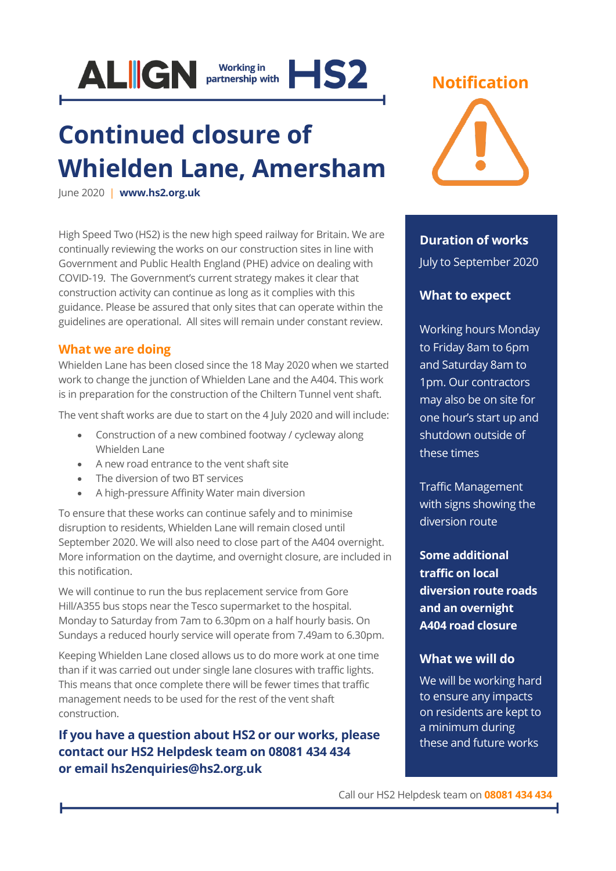

# **Continued closure of Whielden Lane, Amersham**

June 2020 | **[www.hs2.org.uk](http://www.hs2.org.uk/)**

High Speed Two (HS2) is the new high speed railway for Britain. We are continually reviewing the works on our construction sites in line with Government and Public Health England (PHE) advice on dealing with COVID-19. The Government's current strategy makes it clear that construction activity can continue as long as it complies with this guidance. Please be assured that only sites that can operate within the guidelines are operational. All sites will remain under constant review.

#### **What we are doing**

Whielden Lane has been closed since the 18 May 2020 when we started work to change the junction of Whielden Lane and the A404. This work is in preparation for the construction of the Chiltern Tunnel vent shaft.

The vent shaft works are due to start on the 4 July 2020 and will include:

- Construction of a new combined footway / cycleway along Whielden Lane
- A new road entrance to the vent shaft site
- The diversion of two BT services
- A high-pressure Affinity Water main diversion

To ensure that these works can continue safely and to minimise disruption to residents, Whielden Lane will remain closed until September 2020. We will also need to close part of the A404 overnight. More information on the daytime, and overnight closure, are included in this notification.

We will continue to run the bus replacement service from Gore Hill/A355 bus stops near the Tesco supermarket to the hospital. Monday to Saturday from 7am to 6.30pm on a half hourly basis. On Sundays a reduced hourly service will operate from 7.49am to 6.30pm.

Keeping Whielden Lane closed allows us to do more work at one time than if it was carried out under single lane closures with traffic lights. This means that once complete there will be fewer times that traffic management needs to be used for the rest of the vent shaft construction.

**If you have a question about HS2 or our works, please contact our HS2 Helpdesk team on 08081 434 434 or email hs2enquiries@hs2.org.uk**



### **Duration of works** July to September 2020

### **What to expect**

Working hours Monday to Friday 8am to 6pm and Saturday 8am to 1pm. Our contractors may also be on site for one hour's start up and shutdown outside of these times

Traffic Management with signs showing the diversion route

**Some additional traffic on local diversion route roads and an overnight A404 road closure**

#### **What we will do**

We will be working hard to ensure any impacts on residents are kept to a minimum during these and future works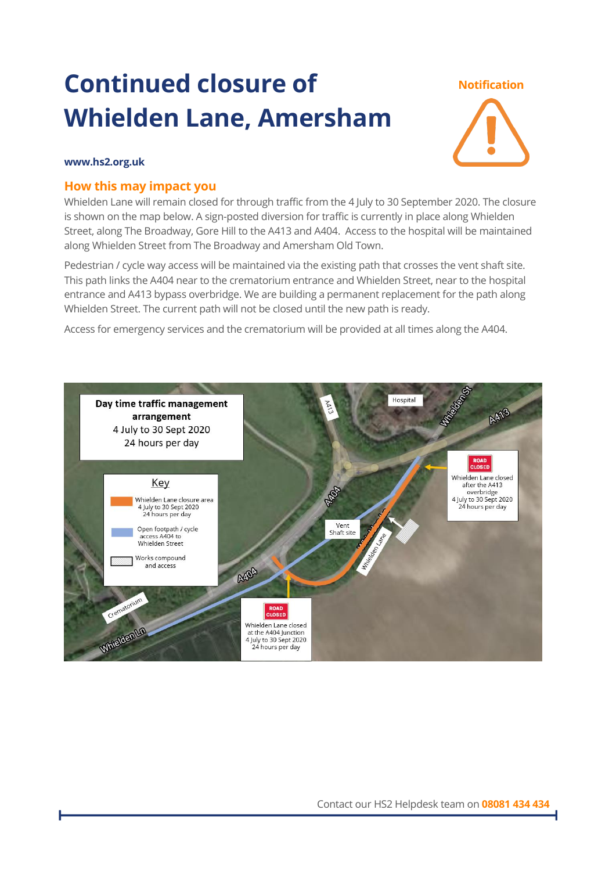# **Continued closure of Whielden Lane, Amersham**

#### **Notification**



#### **www.hs2.org.uk**

#### **How this may impact you**

Whielden Lane will remain closed for through traffic from the 4 July to 30 September 2020. The closure is shown on the map below. A sign-posted diversion for traffic is currently in place along Whielden Street, along The Broadway, Gore Hill to the A413 and A404. Access to the hospital will be maintained along Whielden Street from The Broadway and Amersham Old Town.

Pedestrian / cycle way access will be maintained via the existing path that crosses the vent shaft site. This path links the A404 near to the crematorium entrance and Whielden Street, near to the hospital entrance and A413 bypass overbridge. We are building a permanent replacement for the path along Whielden Street. The current path will not be closed until the new path is ready.

Access for emergency services and the crematorium will be provided at all times along the A404.

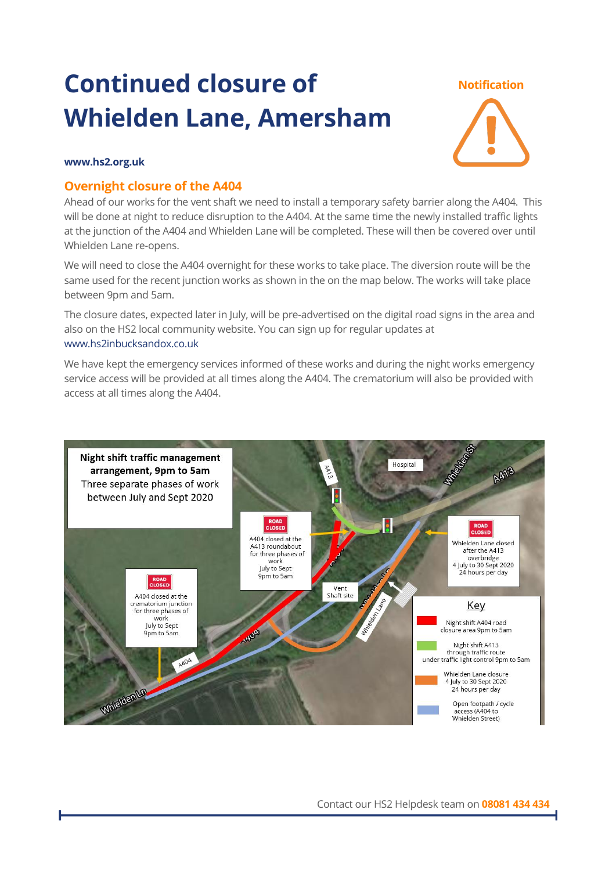# **Continued closure of Whielden Lane, Amersham**

#### **Notification**



#### **www.hs2.org.uk**

#### **Overnight closure of the A404**

Ahead of our works for the vent shaft we need to install a temporary safety barrier along the A404. This will be done at night to reduce disruption to the A404. At the same time the newly installed traffic lights at the junction of the A404 and Whielden Lane will be completed. These will then be covered over until Whielden Lane re-opens.

We will need to close the A404 overnight for these works to take place. The diversion route will be the same used for the recent junction works as shown in the on the map below. The works will take place between 9pm and 5am.

The closure dates, expected later in July, will be pre-advertised on the digital road signs in the area and also on the HS2 local community website. You can sign up for regular updates at [www.hs2inbucksandox.co.uk](http://www.hs2inbucksandox.co.uk/)

We have kept the emergency services informed of these works and during the night works emergency service access will be provided at all times along the A404. The crematorium will also be provided with access at all times along the A404.